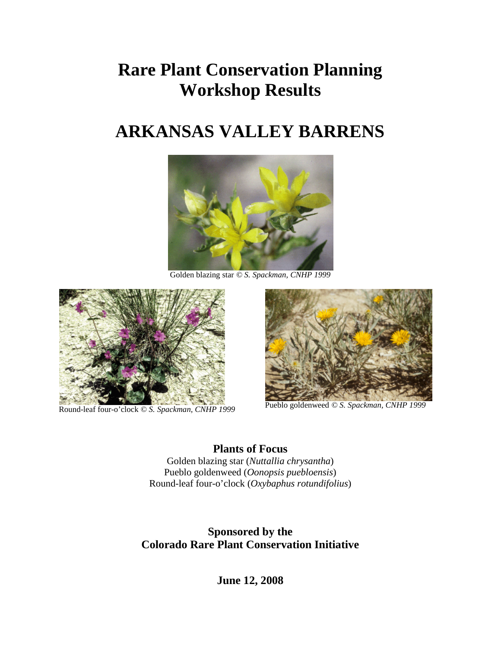# **Rare Plant Conservation Planning Workshop Results**

# **ARKANSAS VALLEY BARRENS**



Golden blazing star *© S. Spackman, CNHP 1999*



Round-leaf four-o'clock *© S. Spackman, CNHP <sup>1999</sup>* Pueblo goldenweed *© S. Spackman, CNHP <sup>1999</sup>*



**Plants of Focus** Golden blazing star (*Nuttallia chrysantha*) Pueblo goldenweed (*Oonopsis puebloensis*) Round-leaf four-o'clock (*Oxybaphus rotundifolius*)

**Sponsored by the Colorado Rare Plant Conservation Initiative**

**June 12, 2008**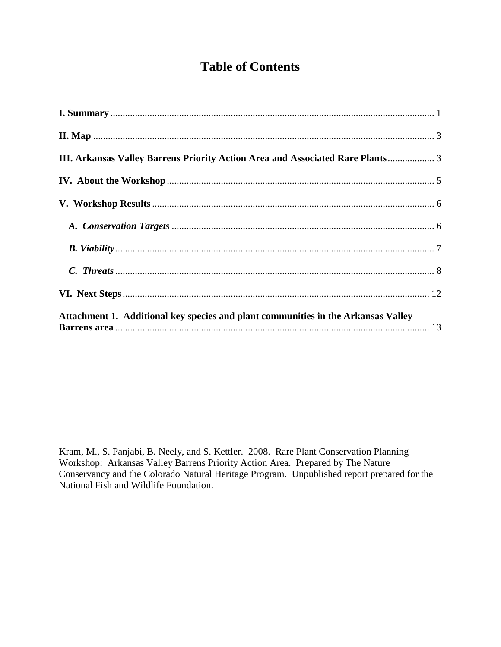## **Table of Contents**

| III. Arkansas Valley Barrens Priority Action Area and Associated Rare Plants 3    |  |
|-----------------------------------------------------------------------------------|--|
|                                                                                   |  |
|                                                                                   |  |
|                                                                                   |  |
|                                                                                   |  |
|                                                                                   |  |
|                                                                                   |  |
| Attachment 1. Additional key species and plant communities in the Arkansas Valley |  |

Kram, M., S. Panjabi, B. Neely, and S. Kettler. 2008. Rare Plant Conservation Planning Workshop: Arkansas Valley Barrens Priority Action Area. Prepared by The Nature Conservancy and the Colorado Natural Heritage Program. Unpublished report prepared for the National Fish and Wildlife Foundation.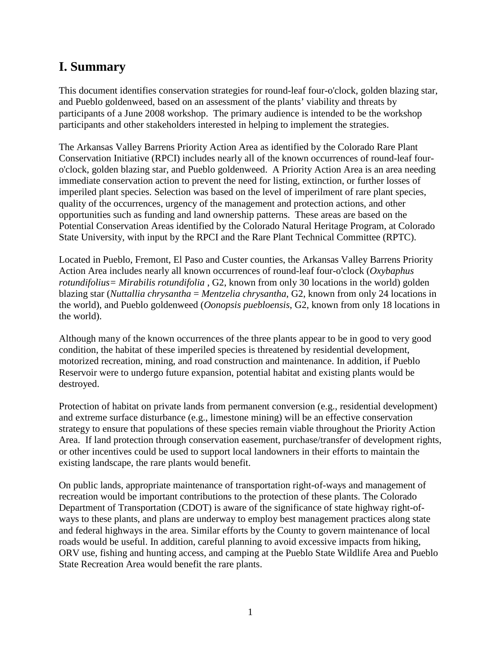# <span id="page-2-0"></span>**I. Summary**

This document identifies conservation strategies for round-leaf four-o'clock*,* golden blazing star, and Pueblo goldenweed, based on an assessment of the plants' viability and threats by participants of a June 2008 workshop. The primary audience is intended to be the workshop participants and other stakeholders interested in helping to implement the strategies.

The Arkansas Valley Barrens Priority Action Area as identified by the Colorado Rare Plant Conservation Initiative (RPCI) includes nearly all of the known occurrences of round-leaf fouro'clock*,* golden blazing star, and Pueblo goldenweed. A Priority Action Area is an area needing immediate conservation action to prevent the need for listing, extinction, or further losses of imperiled plant species. Selection was based on the level of imperilment of rare plant species, quality of the occurrences, urgency of the management and protection actions, and other opportunities such as funding and land ownership patterns. These areas are based on the Potential Conservation Areas identified by the Colorado Natural Heritage Program, at Colorado State University, with input by the RPCI and the Rare Plant Technical Committee (RPTC).

Located in Pueblo, Fremont, El Paso and Custer counties, the Arkansas Valley Barrens Priority Action Area includes nearly all known occurrences of round-leaf four-o'clock (*Oxybaphus rotundifolius= Mirabilis rotundifolia* , G2, known from only 30 locations in the world) golden blazing star (*Nuttallia chrysantha* = *Mentzelia chrysantha*, G2, known from only 24 locations in the world), and Pueblo goldenweed (*Oonopsis puebloensis*, G2, known from only 18 locations in the world).

Although many of the known occurrences of the three plants appear to be in good to very good condition, the habitat of these imperiled species is threatened by residential development, motorized recreation, mining, and road construction and maintenance. In addition, if Pueblo Reservoir were to undergo future expansion, potential habitat and existing plants would be destroyed.

Protection of habitat on private lands from permanent conversion (e.g., residential development) and extreme surface disturbance (e.g., limestone mining) will be an effective conservation strategy to ensure that populations of these species remain viable throughout the Priority Action Area. If land protection through conservation easement, purchase/transfer of development rights, or other incentives could be used to support local landowners in their efforts to maintain the existing landscape, the rare plants would benefit.

On public lands, appropriate maintenance of transportation right-of-ways and management of recreation would be important contributions to the protection of these plants. The Colorado Department of Transportation (CDOT) is aware of the significance of state highway right-ofways to these plants, and plans are underway to employ best management practices along state and federal highways in the area. Similar efforts by the County to govern maintenance of local roads would be useful. In addition, careful planning to avoid excessive impacts from hiking, ORV use, fishing and hunting access, and camping at the Pueblo State Wildlife Area and Pueblo State Recreation Area would benefit the rare plants.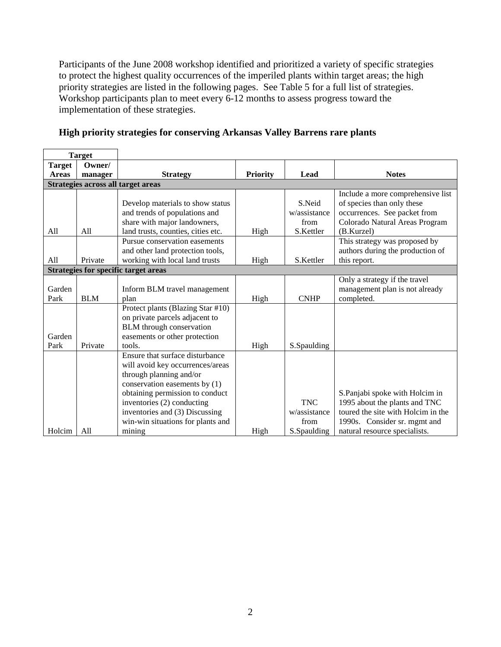Participants of the June 2008 workshop identified and prioritized a variety of specific strategies to protect the highest quality occurrences of the imperiled plants within target areas; the high priority strategies are listed in the following pages. See Table 5 for a full list of strategies. Workshop participants plan to meet every 6-12 months to assess progress toward the implementation of these strategies.

| <b>Target</b>                               |            |                                    |                 |              |                                    |  |  |
|---------------------------------------------|------------|------------------------------------|-----------------|--------------|------------------------------------|--|--|
| <b>Target</b>                               | Owner/     |                                    |                 |              |                                    |  |  |
| <b>Areas</b>                                | manager    | <b>Strategy</b>                    | <b>Priority</b> | Lead         | <b>Notes</b>                       |  |  |
|                                             |            | Strategies across all target areas |                 |              |                                    |  |  |
|                                             |            |                                    |                 |              | Include a more comprehensive list  |  |  |
|                                             |            | Develop materials to show status   |                 | S.Neid       | of species than only these         |  |  |
|                                             |            | and trends of populations and      |                 | w/assistance | occurrences. See packet from       |  |  |
|                                             |            | share with major landowners,       |                 | from         | Colorado Natural Areas Program     |  |  |
| All                                         | All        | land trusts, counties, cities etc. | High            | S.Kettler    | (B.Kurzel)                         |  |  |
|                                             |            | Pursue conservation easements      |                 |              | This strategy was proposed by      |  |  |
|                                             |            | and other land protection tools,   |                 |              | authors during the production of   |  |  |
| All                                         | Private    | working with local land trusts     | High            | S.Kettler    | this report.                       |  |  |
| <b>Strategies for specific target areas</b> |            |                                    |                 |              |                                    |  |  |
|                                             |            |                                    |                 |              | Only a strategy if the travel      |  |  |
| Garden                                      |            | Inform BLM travel management       |                 |              | management plan is not already     |  |  |
| Park                                        | <b>BLM</b> | plan                               | High            | <b>CNHP</b>  | completed.                         |  |  |
|                                             |            | Protect plants (Blazing Star #10)  |                 |              |                                    |  |  |
|                                             |            | on private parcels adjacent to     |                 |              |                                    |  |  |
|                                             |            | BLM through conservation           |                 |              |                                    |  |  |
| Garden                                      |            | easements or other protection      |                 |              |                                    |  |  |
| Park                                        | Private    | tools.                             | High            | S.Spaulding  |                                    |  |  |
|                                             |            | Ensure that surface disturbance    |                 |              |                                    |  |  |
|                                             |            | will avoid key occurrences/areas   |                 |              |                                    |  |  |
|                                             |            | through planning and/or            |                 |              |                                    |  |  |
|                                             |            | conservation easements by (1)      |                 |              |                                    |  |  |
|                                             |            | obtaining permission to conduct    |                 |              | S.Panjabi spoke with Holcim in     |  |  |
|                                             |            | inventories (2) conducting         |                 | <b>TNC</b>   | 1995 about the plants and TNC      |  |  |
|                                             |            | inventories and (3) Discussing     |                 | w/assistance | toured the site with Holcim in the |  |  |
|                                             |            | win-win situations for plants and  |                 | from         | 1990s. Consider sr. mgmt and       |  |  |
| Holcim                                      | A11        | mining                             | High            | S.Spaulding  | natural resource specialists.      |  |  |

### **High priority strategies for conserving Arkansas Valley Barrens rare plants**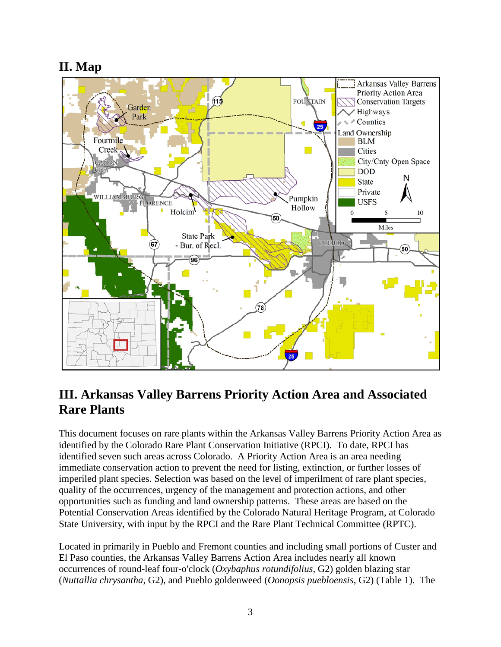# <span id="page-4-0"></span>**II. Map**



# <span id="page-4-1"></span>**III. Arkansas Valley Barrens Priority Action Area and Associated Rare Plants**

This document focuses on rare plants within the Arkansas Valley Barrens Priority Action Area as identified by the Colorado Rare Plant Conservation Initiative (RPCI). To date, RPCI has identified seven such areas across Colorado. A Priority Action Area is an area needing immediate conservation action to prevent the need for listing, extinction, or further losses of imperiled plant species. Selection was based on the level of imperilment of rare plant species, quality of the occurrences, urgency of the management and protection actions, and other opportunities such as funding and land ownership patterns. These areas are based on the Potential Conservation Areas identified by the Colorado Natural Heritage Program, at Colorado State University, with input by the RPCI and the Rare Plant Technical Committee (RPTC).

Located in primarily in Pueblo and Fremont counties and including small portions of Custer and El Paso counties, the Arkansas Valley Barrens Action Area includes nearly all known occurrences of round-leaf four-o'clock (*Oxybaphus rotundifolius*, G2) golden blazing star (*Nuttallia chrysantha*, G2), and Pueblo goldenweed (*Oonopsis puebloensis*, G2) (Table 1). The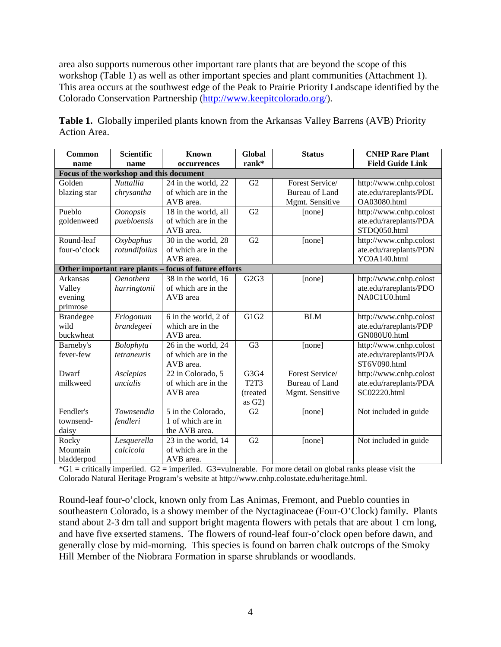area also supports numerous other important rare plants that are beyond the scope of this workshop (Table 1) as well as other important species and plant communities (Attachment 1). This area occurs at the southwest edge of the Peak to Prairie Priority Landscape identified by the Colorado Conservation Partnership [\(http://www.keepitcolorado.org/\)](http://www.keepitcolorado.org/).

| Common                                  | <b>Scientific</b> | <b>Known</b>                                          | <b>Global</b>                 | <b>Status</b>         | <b>CNHP Rare Plant</b>  |  |  |  |  |
|-----------------------------------------|-------------------|-------------------------------------------------------|-------------------------------|-----------------------|-------------------------|--|--|--|--|
| name                                    | name              | occurrences                                           | rank*                         |                       | <b>Field Guide Link</b> |  |  |  |  |
| Focus of the workshop and this document |                   |                                                       |                               |                       |                         |  |  |  |  |
| Golden                                  | <b>Nuttallia</b>  | 24 in the world, 22                                   | G2                            | Forest Service/       | http://www.cnhp.colost  |  |  |  |  |
| blazing star                            | chrysantha        | of which are in the                                   |                               | <b>Bureau of Land</b> | ate.edu/rareplants/PDL  |  |  |  |  |
|                                         |                   | AVB area.                                             |                               | Mgmt. Sensitive       | OA03080.html            |  |  |  |  |
| Pueblo                                  | <b>Oonopsis</b>   | 18 in the world, all                                  | G2                            | [none]                | http://www.cnhp.colost  |  |  |  |  |
| goldenweed                              | puebloensis       | of which are in the                                   |                               |                       | ate.edu/rareplants/PDA  |  |  |  |  |
|                                         |                   | AVB area.                                             |                               |                       | STDQ050.html            |  |  |  |  |
| Round-leaf                              | Oxybaphus         | 30 in the world, 28                                   | G2                            | [none]                | http://www.cnhp.colost  |  |  |  |  |
| four-o'clock                            | rotundifolius     | of which are in the                                   |                               |                       | ate.edu/rareplants/PDN  |  |  |  |  |
|                                         |                   | AVB area.                                             |                               |                       | YC0A140.html            |  |  |  |  |
|                                         |                   | Other important rare plants - focus of future efforts |                               |                       |                         |  |  |  |  |
| Arkansas                                | <b>Oenothera</b>  | 38 in the world, 16                                   | G2G3                          | [none]                | http://www.cnhp.colost  |  |  |  |  |
| Valley                                  | harringtonii      | of which are in the                                   |                               |                       | ate.edu/rareplants/PDO  |  |  |  |  |
| evening                                 |                   | AVB area                                              |                               |                       | NA0C1U0.html            |  |  |  |  |
| primrose                                |                   |                                                       |                               |                       |                         |  |  |  |  |
| <b>Brandegee</b>                        | Eriogonum         | 6 in the world, 2 of                                  | $\overline{G1G2}$             | <b>BLM</b>            | http://www.cnhp.colost  |  |  |  |  |
| wild                                    | brandegeei        | which are in the                                      |                               |                       | ate.edu/rareplants/PDP  |  |  |  |  |
| buckwheat                               |                   | AVB area.                                             |                               |                       | GN080U0.html            |  |  |  |  |
| Barneby's                               | Bolophyta         | 26 in the world, 24                                   | G <sub>3</sub>                | [none]                | http://www.cnhp.colost  |  |  |  |  |
| fever-few                               | tetraneuris       | of which are in the                                   |                               |                       | ate.edu/rareplants/PDA  |  |  |  |  |
|                                         |                   | AVB area.                                             |                               |                       | ST6V090.html            |  |  |  |  |
| Dwarf                                   | Asclepias         | 22 in Colorado, 5                                     | G3G4                          | Forest Service/       | http://www.cnhp.colost  |  |  |  |  |
| milkweed                                | uncialis          | of which are in the                                   | T <sub>2</sub> T <sub>3</sub> | <b>Bureau of Land</b> | ate.edu/rareplants/PDA  |  |  |  |  |
|                                         |                   | AVB area                                              | (treated                      | Mgmt. Sensitive       | SC02220.html            |  |  |  |  |
|                                         |                   |                                                       | as $G2$ )                     |                       |                         |  |  |  |  |
| Fendler's                               | Townsendia        | 5 in the Colorado,                                    | G2                            | [none]                | Not included in guide   |  |  |  |  |
| townsend-                               | fendleri          | 1 of which are in                                     |                               |                       |                         |  |  |  |  |
| daisy                                   |                   | the AVB area.                                         |                               |                       |                         |  |  |  |  |
| Rocky                                   | Lesquerella       | 23 in the world, 14                                   | G2                            | [none]                | Not included in guide   |  |  |  |  |
| Mountain                                | calcicola         | of which are in the                                   |                               |                       |                         |  |  |  |  |
| bladderpod                              |                   | AVB area.                                             |                               |                       |                         |  |  |  |  |

**Table 1.** Globally imperiled plants known from the Arkansas Valley Barrens (AVB) Priority Action Area.

 $*G1$  = critically imperiled.  $G2$  = imperiled.  $G3$  = vulnerable. For more detail on global ranks please visit the Colorado Natural Heritage Program's website at http://www.cnhp.colostate.edu/heritage.html.

Round-leaf four-o'clock, known only from Las Animas, Fremont, and Pueblo counties in southeastern Colorado, is a showy member of the Nyctaginaceae (Four-O'Clock) family. Plants stand about 2-3 dm tall and support bright magenta flowers with petals that are about 1 cm long, and have five exserted stamens. The flowers of round-leaf four-o'clock open before dawn, and generally close by mid-morning. This species is found on barren chalk outcrops of the Smoky Hill Member of the Niobrara Formation in sparse shrublands or woodlands.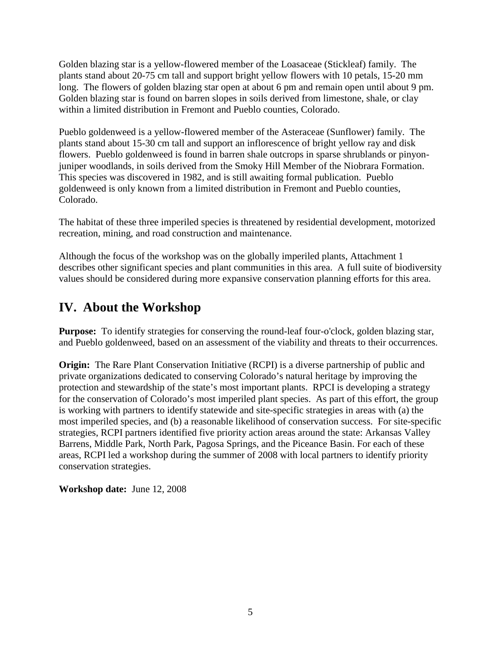Golden blazing star is a yellow-flowered member of the Loasaceae (Stickleaf) family. The plants stand about 20-75 cm tall and support bright yellow flowers with 10 petals, 15-20 mm long. The flowers of golden blazing star open at about 6 pm and remain open until about 9 pm. Golden blazing star is found on barren slopes in soils derived from limestone, shale, or clay within a limited distribution in Fremont and Pueblo counties, Colorado.

Pueblo goldenweed is a yellow-flowered member of the Asteraceae (Sunflower) family. The plants stand about 15-30 cm tall and support an inflorescence of bright yellow ray and disk flowers. Pueblo goldenweed is found in barren shale outcrops in sparse shrublands or pinyonjuniper woodlands, in soils derived from the Smoky Hill Member of the Niobrara Formation. This species was discovered in 1982, and is still awaiting formal publication. Pueblo goldenweed is only known from a limited distribution in Fremont and Pueblo counties, Colorado.

The habitat of these three imperiled species is threatened by residential development, motorized recreation, mining, and road construction and maintenance.

Although the focus of the workshop was on the globally imperiled plants, Attachment 1 describes other significant species and plant communities in this area. A full suite of biodiversity values should be considered during more expansive conservation planning efforts for this area.

## <span id="page-6-0"></span>**IV. About the Workshop**

**Purpose:** To identify strategies for conserving the round-leaf four-o'clock*,* golden blazing star, and Pueblo goldenweed, based on an assessment of the viability and threats to their occurrences.

**Origin:** The Rare Plant Conservation Initiative (RCPI) is a diverse partnership of public and private organizations dedicated to conserving Colorado's natural heritage by improving the protection and stewardship of the state's most important plants. RPCI is developing a strategy for the conservation of Colorado's most imperiled plant species. As part of this effort, the group is working with partners to identify statewide and site-specific strategies in areas with (a) the most imperiled species, and (b) a reasonable likelihood of conservation success. For site-specific strategies, RCPI partners identified five priority action areas around the state: Arkansas Valley Barrens, Middle Park, North Park, Pagosa Springs, and the Piceance Basin. For each of these areas, RCPI led a workshop during the summer of 2008 with local partners to identify priority conservation strategies.

**Workshop date:** June 12, 2008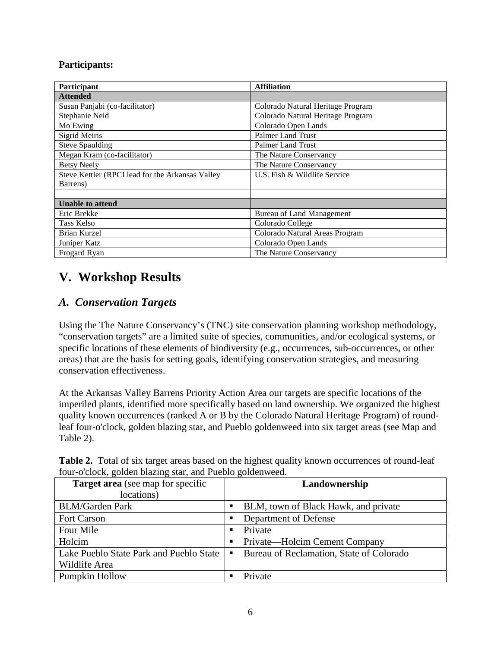#### **Participants:**

| <b>Participant</b>                               | <b>Affiliation</b>                |
|--------------------------------------------------|-----------------------------------|
| <b>Attended</b>                                  |                                   |
| Susan Panjabi (co-facilitator)                   | Colorado Natural Heritage Program |
| Stephanie Neid                                   | Colorado Natural Heritage Program |
| Mo Ewing                                         | Colorado Open Lands               |
| Sigrid Meiris                                    | Palmer Land Trust                 |
| <b>Steve Spaulding</b>                           | Palmer Land Trust                 |
| Megan Kram (co-facilitator)                      | The Nature Conservancy            |
| <b>Betsy Neely</b>                               | The Nature Conservancy            |
| Steve Kettler (RPCI lead for the Arkansas Valley | U.S. Fish & Wildlife Service      |
| Barrens)                                         |                                   |
|                                                  |                                   |
| <b>Unable to attend</b>                          |                                   |
| Eric Brekke                                      | Bureau of Land Management         |
| Tass Kelso                                       | Colorado College                  |
| Brian Kurzel                                     | Colorado Natural Areas Program    |
| Juniper Katz                                     | Colorado Open Lands               |
| Frogard Ryan                                     | The Nature Conservancy            |

## <span id="page-7-0"></span>**V. Workshop Results**

### <span id="page-7-1"></span>*A. Conservation Targets*

Using the The Nature Conservancy's (TNC) site conservation planning workshop methodology, "conservation targets" are a limited suite of species, communities, and/or ecological systems, or specific locations of these elements of biodiversity (e.g., occurrences, sub-occurrences, or other areas) that are the basis for setting goals, identifying conservation strategies, and measuring conservation effectiveness.

At the Arkansas Valley Barrens Priority Action Area our targets are specific locations of the imperiled plants, identified more specifically based on land ownership. We organized the highest quality known occurrences (ranked A or B by the Colorado Natural Heritage Program) of roundleaf four-o'clock*,* golden blazing star, and Pueblo goldenweed into six target areas (see Map and Table 2).

|  | <b>Table 2.</b> Total of six target areas based on the highest quality known occurrences of round-leaf |  |  |
|--|--------------------------------------------------------------------------------------------------------|--|--|
|  | four-o'clock, golden blazing star, and Pueblo goldenweed.                                              |  |  |

| <b>Target area</b> (see map for specific |   | Landownership                            |
|------------------------------------------|---|------------------------------------------|
| locations)                               |   |                                          |
| <b>BLM/Garden Park</b>                   | ٠ | BLM, town of Black Hawk, and private     |
| <b>Fort Carson</b>                       | ٠ | Department of Defense                    |
| Four Mile                                | п | Private                                  |
| Holcim                                   | ٠ | Private—Holcim Cement Company            |
| Lake Pueblo State Park and Pueblo State  | п | Bureau of Reclamation, State of Colorado |
| Wildlife Area                            |   |                                          |
| Pumpkin Hollow                           |   | Private                                  |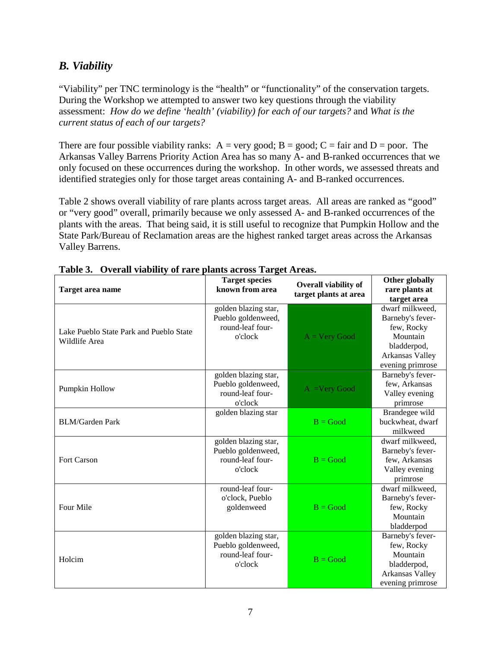### <span id="page-8-0"></span>*B. Viability*

"Viability" per TNC terminology is the "health" or "functionality" of the conservation targets. During the Workshop we attempted to answer two key questions through the viability assessment: *How do we define 'health' (viability) for each of our targets?* and *What is the current status of each of our targets?*

There are four possible viability ranks:  $A = very good$ ;  $B = good$ ;  $C = fair$  and  $D = poor$ . The Arkansas Valley Barrens Priority Action Area has so many A- and B-ranked occurrences that we only focused on these occurrences during the workshop. In other words, we assessed threats and identified strategies only for those target areas containing A- and B-ranked occurrences.

Table 2 shows overall viability of rare plants across target areas. All areas are ranked as "good" or "very good" overall, primarily because we only assessed A- and B-ranked occurrences of the plants with the areas. That being said, it is still useful to recognize that Pumpkin Hollow and the State Park/Bureau of Reclamation areas are the highest ranked target areas across the Arkansas Valley Barrens.

| Target area name                                         | <b>Target species</b><br>known from area                                  | <b>Overall viability of</b><br>target plants at area | Other globally<br>rare plants at<br>target area                                                                     |
|----------------------------------------------------------|---------------------------------------------------------------------------|------------------------------------------------------|---------------------------------------------------------------------------------------------------------------------|
| Lake Pueblo State Park and Pueblo State<br>Wildlife Area | golden blazing star,<br>Pueblo goldenweed,<br>round-leaf four-<br>o'clock | $A = Very Good$                                      | dwarf milkweed.<br>Barneby's fever-<br>few, Rocky<br>Mountain<br>bladderpod,<br>Arkansas Valley<br>evening primrose |
| Pumpkin Hollow                                           | golden blazing star,<br>Pueblo goldenweed,<br>round-leaf four-<br>o'clock | $A = Very Good$                                      | Barneby's fever-<br>few, Arkansas<br>Valley evening<br>primrose                                                     |
| <b>BLM/Garden Park</b>                                   | golden blazing star                                                       | $B = Good$                                           | Brandegee wild<br>buckwheat, dwarf<br>milkweed                                                                      |
| Fort Carson                                              | golden blazing star,<br>Pueblo goldenweed,<br>round-leaf four-<br>o'clock | $B = Good$                                           | dwarf milkweed,<br>Barneby's fever-<br>few, Arkansas<br>Valley evening<br>primrose                                  |
| Four Mile                                                | round-leaf four-<br>o'clock, Pueblo<br>goldenweed                         | $B = Good$                                           | dwarf milkweed,<br>Barneby's fever-<br>few, Rocky<br>Mountain<br>bladderpod                                         |
| Holcim                                                   | golden blazing star,<br>Pueblo goldenweed,<br>round-leaf four-<br>o'clock | $B = Good$                                           | Barneby's fever-<br>few, Rocky<br>Mountain<br>bladderpod,<br>Arkansas Valley<br>evening primrose                    |

**Table 3. Overall viability of rare plants across Target Areas.**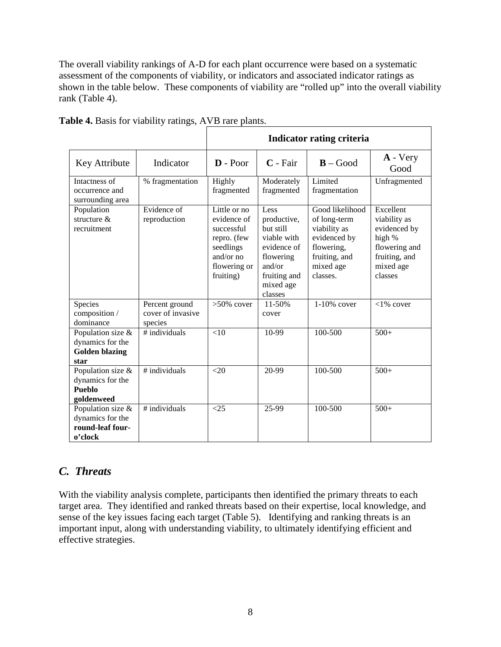The overall viability rankings of A-D for each plant occurrence were based on a systematic assessment of the components of viability, or indicators and associated indicator ratings as shown in the table below. These components of viability are "rolled up" into the overall viability rank (Table 4).

|                                                                        |                                                | <b>Indicator rating criteria</b>                                                                                |                                                                                                                               |                                                                                                                         |                                                                                                               |  |  |  |
|------------------------------------------------------------------------|------------------------------------------------|-----------------------------------------------------------------------------------------------------------------|-------------------------------------------------------------------------------------------------------------------------------|-------------------------------------------------------------------------------------------------------------------------|---------------------------------------------------------------------------------------------------------------|--|--|--|
| Key Attribute                                                          | Indicator                                      | $D - Poor$                                                                                                      | $C$ - Fair                                                                                                                    | $B - Good$                                                                                                              | $\bf{A}$ - Very<br>Good                                                                                       |  |  |  |
| Intactness of<br>occurrence and<br>surrounding area                    | % fragmentation                                | Highly<br>fragmented                                                                                            | Moderately<br>fragmented                                                                                                      | Limited<br>fragmentation                                                                                                | Unfragmented                                                                                                  |  |  |  |
| Population<br>structure $&$<br>recruitment                             | Evidence of<br>reproduction                    | Little or no<br>evidence of<br>successful<br>repro. (few<br>seedlings<br>and/or no<br>flowering or<br>fruiting) | Less<br>productive,<br>but still<br>viable with<br>evidence of<br>flowering<br>and/or<br>fruiting and<br>mixed age<br>classes | Good likelihood<br>of long-term<br>viability as<br>evidenced by<br>flowering,<br>fruiting, and<br>mixed age<br>classes. | Excellent<br>viability as<br>evidenced by<br>high %<br>flowering and<br>fruiting, and<br>mixed age<br>classes |  |  |  |
| Species<br>composition /<br>dominance                                  | Percent ground<br>cover of invasive<br>species | $>50\%$ cover                                                                                                   | 11-50%<br>cover                                                                                                               | 1-10% cover                                                                                                             | $<$ 1% cover                                                                                                  |  |  |  |
| Population size &<br>dynamics for the<br><b>Golden blazing</b><br>star | # individuals                                  | $<$ 10                                                                                                          | 10-99                                                                                                                         | 100-500                                                                                                                 | $500+$                                                                                                        |  |  |  |
| Population size &<br>dynamics for the<br>Pueblo<br>goldenweed          | $#$ individuals                                | $<$ 20                                                                                                          | 20-99                                                                                                                         | 100-500                                                                                                                 | $500+$                                                                                                        |  |  |  |
| Population size &<br>dynamics for the<br>round-leaf four-<br>o'clock   | $#$ individuals                                | <25                                                                                                             | 25-99                                                                                                                         | 100-500                                                                                                                 | $500+$                                                                                                        |  |  |  |

**Table 4.** Basis for viability ratings, AVB rare plants.

### <span id="page-9-0"></span>*C. Threats*

With the viability analysis complete, participants then identified the primary threats to each target area. They identified and ranked threats based on their expertise, local knowledge, and sense of the key issues facing each target (Table 5). Identifying and ranking threats is an important input, along with understanding viability, to ultimately identifying efficient and effective strategies.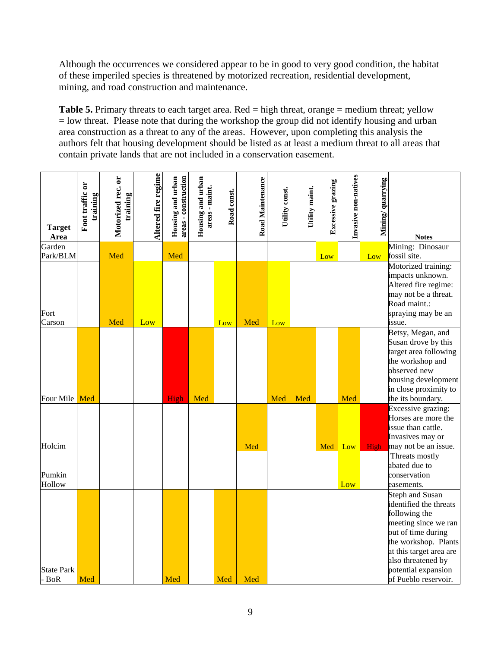Although the occurrences we considered appear to be in good to very good condition, the habitat of these imperiled species is threatened by motorized recreation, residential development, mining, and road construction and maintenance.

**Table 5.** Primary threats to each target area. Red = high threat, orange = medium threat; yellow  $=$  low threat. Please note that during the workshop the group did not identify housing and urban area construction as a threat to any of the areas. However, upon completing this analysis the authors felt that housing development should be listed as at least a medium threat to all areas that contain private lands that are not included in a conservation easement.

| <b>Target</b><br>Area        | Foot traffic or<br>training | Motorized rec. or<br>training | Altered fire regime | Housing and urban<br>areas - construction | Housing and urban<br>areas - maint. | Road const. | Road Maintenance | Utility const. | Utility maint. | Excessive grazing | Invasive non-natives | Mining/quarrying | <b>Notes</b>                                                                                                                                                                                                                            |
|------------------------------|-----------------------------|-------------------------------|---------------------|-------------------------------------------|-------------------------------------|-------------|------------------|----------------|----------------|-------------------|----------------------|------------------|-----------------------------------------------------------------------------------------------------------------------------------------------------------------------------------------------------------------------------------------|
| Garden<br>Park/BLM           |                             | Med                           |                     | Med                                       |                                     |             |                  |                |                |                   |                      | Low              | Mining: Dinosaur<br>fossil site.                                                                                                                                                                                                        |
| Fort<br>Carson               |                             | Med                           | Low                 |                                           |                                     | Low         | Med              | Low            |                | Low               |                      |                  | Motorized training:<br>impacts unknown.<br>Altered fire regime:<br>may not be a threat.<br>Road maint.:<br>spraying may be an<br>issue.                                                                                                 |
|                              |                             |                               |                     |                                           |                                     |             |                  |                |                |                   |                      |                  | Betsy, Megan, and<br>Susan drove by this<br>target area following<br>the workshop and<br>observed new<br>housing development<br>in close proximity to                                                                                   |
| Four Mile                    | Med                         |                               |                     | High                                      | Med                                 |             |                  | Med            | Med            |                   | Med                  |                  | the its boundary.                                                                                                                                                                                                                       |
| Holcim                       |                             |                               |                     |                                           |                                     |             | Med              |                |                | Med               | Low                  | <b>High</b>      | Excessive grazing:<br>Horses are more the<br>issue than cattle.<br>Invasives may or<br>may not be an issue.                                                                                                                             |
| Pumkin<br>Hollow             |                             |                               |                     |                                           |                                     |             |                  |                |                |                   | Low                  |                  | Threats mostly<br>abated due to<br>conservation<br>easements.                                                                                                                                                                           |
| <b>State Park</b><br>$-$ BoR | Med                         |                               |                     | Med                                       |                                     | Med         | Med              |                |                |                   |                      |                  | <b>Steph and Susan</b><br>identified the threats<br>following the<br>meeting since we ran<br>out of time during<br>the workshop. Plants<br>at this target area are<br>also threatened by<br>potential expansion<br>of Pueblo reservoir. |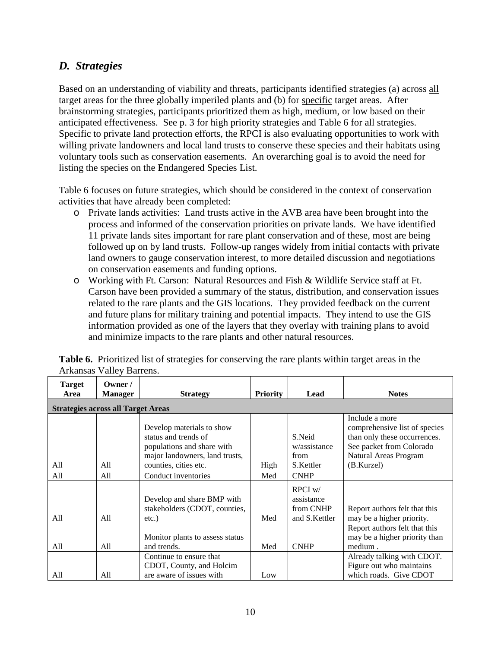### *D. Strategies*

Based on an understanding of viability and threats, participants identified strategies (a) across all target areas for the three globally imperiled plants and (b) for specific target areas. After brainstorming strategies, participants prioritized them as high, medium, or low based on their anticipated effectiveness. See p. 3 for high priority strategies and Table 6 for all strategies. Specific to private land protection efforts, the RPCI is also evaluating opportunities to work with willing private landowners and local land trusts to conserve these species and their habitats using voluntary tools such as conservation easements. An overarching goal is to avoid the need for listing the species on the Endangered Species List.

Table 6 focuses on future strategies, which should be considered in the context of conservation activities that have already been completed:

- o Private lands activities: Land trusts active in the AVB area have been brought into the process and informed of the conservation priorities on private lands. We have identified 11 private lands sites important for rare plant conservation and of these, most are being followed up on by land trusts. Follow-up ranges widely from initial contacts with private land owners to gauge conservation interest, to more detailed discussion and negotiations on conservation easements and funding options.
- o Working with Ft. Carson: Natural Resources and Fish & Wildlife Service staff at Ft. Carson have been provided a summary of the status, distribution, and conservation issues related to the rare plants and the GIS locations. They provided feedback on the current and future plans for military training and potential impacts. They intend to use the GIS information provided as one of the layers that they overlay with training plans to avoid and minimize impacts to the rare plants and other natural resources.

|                       | $\ldots$                                  |                                                             |                 |                                      |                                                                           |  |  |  |  |  |
|-----------------------|-------------------------------------------|-------------------------------------------------------------|-----------------|--------------------------------------|---------------------------------------------------------------------------|--|--|--|--|--|
| <b>Target</b><br>Area | Owner /<br><b>Manager</b>                 | <b>Strategy</b>                                             | <b>Priority</b> | Lead                                 | <b>Notes</b>                                                              |  |  |  |  |  |
|                       | <b>Strategies across all Target Areas</b> |                                                             |                 |                                      |                                                                           |  |  |  |  |  |
|                       |                                           |                                                             |                 |                                      | Include a more                                                            |  |  |  |  |  |
|                       |                                           | Develop materials to show                                   |                 |                                      | comprehensive list of species                                             |  |  |  |  |  |
|                       |                                           | status and trends of                                        |                 | S.Neid                               | than only these occurrences.                                              |  |  |  |  |  |
|                       |                                           | populations and share with                                  |                 | w/assistance                         | See packet from Colorado                                                  |  |  |  |  |  |
|                       |                                           | major landowners, land trusts,                              |                 | from                                 | Natural Areas Program                                                     |  |  |  |  |  |
| All                   | All                                       | counties, cities etc.                                       | High            | S.Kettler                            | (B.Kurzel)                                                                |  |  |  |  |  |
| All                   | All                                       | Conduct inventories                                         | Med             | <b>CNHP</b>                          |                                                                           |  |  |  |  |  |
|                       |                                           | Develop and share BMP with<br>stakeholders (CDOT, counties, |                 | $RPCI$ w/<br>assistance<br>from CNHP | Report authors felt that this                                             |  |  |  |  |  |
| All                   | A11                                       | $etc.$ )                                                    | Med             | and S.Kettler                        | may be a higher priority.                                                 |  |  |  |  |  |
| All                   | All                                       | Monitor plants to assess status<br>and trends.              | Med             | <b>CNHP</b>                          | Report authors felt that this<br>may be a higher priority than<br>medium. |  |  |  |  |  |
|                       |                                           | Continue to ensure that                                     |                 |                                      | Already talking with CDOT.                                                |  |  |  |  |  |
|                       |                                           | CDOT, County, and Holcim                                    |                 |                                      | Figure out who maintains                                                  |  |  |  |  |  |
| All                   | All                                       | are aware of issues with                                    | Low             |                                      | which roads. Give CDOT                                                    |  |  |  |  |  |

**Table 6.** Prioritized list of strategies for conserving the rare plants within target areas in the Arkansas Valley Barrens.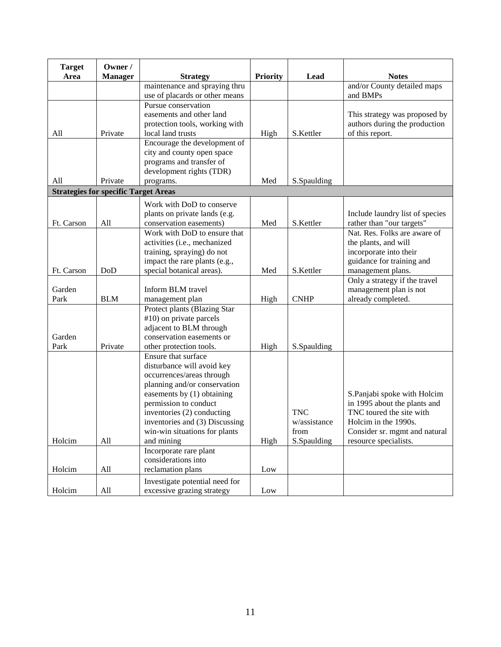| <b>Target</b>                               | Owner /        |                                                      |                 |              |                                             |
|---------------------------------------------|----------------|------------------------------------------------------|-----------------|--------------|---------------------------------------------|
| Area                                        | <b>Manager</b> | <b>Strategy</b><br>maintenance and spraying thru     | <b>Priority</b> | Lead         | <b>Notes</b><br>and/or County detailed maps |
|                                             |                | use of placards or other means                       |                 |              | and BMPs                                    |
|                                             |                | Pursue conservation                                  |                 |              |                                             |
|                                             |                | easements and other land                             |                 |              | This strategy was proposed by               |
|                                             |                | protection tools, working with                       |                 |              | authors during the production               |
| All                                         | Private        | local land trusts                                    | High            | S.Kettler    | of this report.                             |
|                                             |                | Encourage the development of                         |                 |              |                                             |
|                                             |                | city and county open space                           |                 |              |                                             |
|                                             |                | programs and transfer of                             |                 |              |                                             |
|                                             |                | development rights (TDR)                             |                 |              |                                             |
| All                                         | Private        | programs.                                            | Med             | S.Spaulding  |                                             |
| <b>Strategies for specific Target Areas</b> |                |                                                      |                 |              |                                             |
|                                             |                | Work with DoD to conserve                            |                 |              |                                             |
|                                             |                | plants on private lands (e.g.                        |                 |              | Include laundry list of species             |
| Ft. Carson                                  | All            | conservation easements)                              | Med             | S.Kettler    | rather than "our targets"                   |
|                                             |                | Work with DoD to ensure that                         |                 |              | Nat. Res. Folks are aware of                |
|                                             |                | activities (i.e., mechanized                         |                 |              | the plants, and will                        |
|                                             |                | training, spraying) do not                           |                 |              | incorporate into their                      |
|                                             |                | impact the rare plants (e.g.,                        |                 |              | guidance for training and                   |
| Ft. Carson                                  | DoD            | special botanical areas).                            | Med             | S.Kettler    | management plans.                           |
|                                             |                |                                                      |                 |              | Only a strategy if the travel               |
| Garden                                      |                | Inform BLM travel                                    |                 |              | management plan is not                      |
| Park                                        | <b>BLM</b>     | management plan                                      | High            | <b>CNHP</b>  | already completed.                          |
|                                             |                | Protect plants (Blazing Star                         |                 |              |                                             |
|                                             |                | #10) on private parcels                              |                 |              |                                             |
| Garden                                      |                | adjacent to BLM through<br>conservation easements or |                 |              |                                             |
| Park                                        | Private        | other protection tools.                              | High            | S.Spaulding  |                                             |
|                                             |                | Ensure that surface                                  |                 |              |                                             |
|                                             |                | disturbance will avoid key                           |                 |              |                                             |
|                                             |                | occurrences/areas through                            |                 |              |                                             |
|                                             |                | planning and/or conservation                         |                 |              |                                             |
|                                             |                | easements by (1) obtaining                           |                 |              | S.Panjabi spoke with Holcim                 |
|                                             |                | permission to conduct                                |                 |              | in 1995 about the plants and                |
|                                             |                | inventories (2) conducting                           |                 | <b>TNC</b>   | TNC toured the site with                    |
|                                             |                | inventories and (3) Discussing                       |                 | w/assistance | Holcim in the 1990s.                        |
|                                             |                | win-win situations for plants                        |                 | from         | Consider sr. mgmt and natural               |
| Holcim                                      | All            | and mining                                           | High            | S.Spaulding  | resource specialists.                       |
|                                             |                | Incorporate rare plant                               |                 |              |                                             |
|                                             |                | considerations into                                  |                 |              |                                             |
| Holcim                                      | All            | reclamation plans                                    | Low             |              |                                             |
|                                             |                | Investigate potential need for                       |                 |              |                                             |
| Holcim                                      | All            | excessive grazing strategy                           | Low             |              |                                             |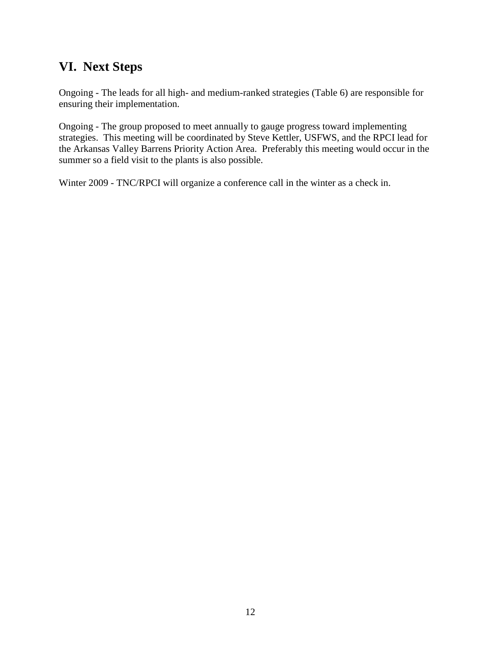### <span id="page-13-0"></span>**VI. Next Steps**

Ongoing - The leads for all high- and medium-ranked strategies (Table 6) are responsible for ensuring their implementation.

Ongoing - The group proposed to meet annually to gauge progress toward implementing strategies. This meeting will be coordinated by Steve Kettler, USFWS, and the RPCI lead for the Arkansas Valley Barrens Priority Action Area. Preferably this meeting would occur in the summer so a field visit to the plants is also possible.

Winter 2009 - TNC/RPCI will organize a conference call in the winter as a check in.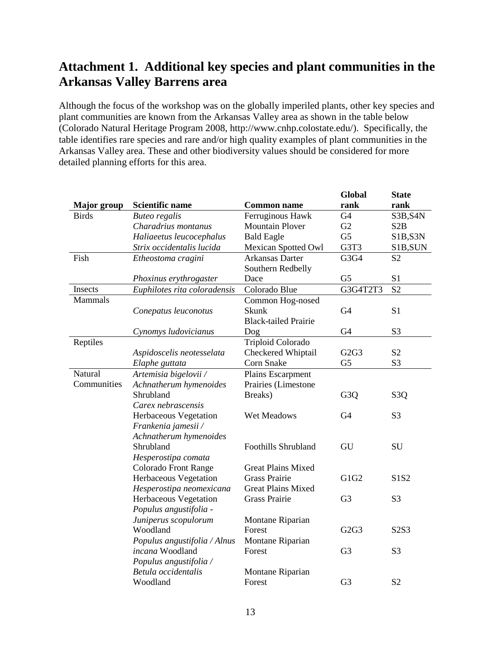# <span id="page-14-0"></span>**Attachment 1. Additional key species and plant communities in the Arkansas Valley Barrens area**

Although the focus of the workshop was on the globally imperiled plants, other key species and plant communities are known from the Arkansas Valley area as shown in the table below (Colorado Natural Heritage Program 2008, http://www.cnhp.colostate.edu/). Specifically, the table identifies rare species and rare and/or high quality examples of plant communities in the Arkansas Valley area. These and other biodiversity values should be considered for more detailed planning efforts for this area.

|                    |                              |                             | Global           | <b>State</b>     |
|--------------------|------------------------------|-----------------------------|------------------|------------------|
| <b>Major</b> group | <b>Scientific name</b>       | <b>Common name</b>          | rank             | rank             |
| <b>Birds</b>       | <b>Buteo regalis</b>         | Ferruginous Hawk            | G4               | S3B, S4N         |
|                    | Charadrius montanus          | <b>Mountain Plover</b>      | G2               | S <sub>2</sub> B |
|                    | Haliaeetus leucocephalus     | <b>Bald Eagle</b>           | G <sub>5</sub>   | S1B, S3N         |
|                    | Strix occidentalis lucida    | <b>Mexican Spotted Owl</b>  | G3T3             | S1B, SUN         |
| Fish               | Etheostoma cragini           | Arkansas Darter             | G3G4             | S <sub>2</sub>   |
|                    |                              | Southern Redbelly           |                  |                  |
|                    | Phoxinus erythrogaster       | Dace                        | G <sub>5</sub>   | S1               |
| Insects            | Euphilotes rita coloradensis | Colorado Blue               | G3G4T2T3         | S <sub>2</sub>   |
| <b>Mammals</b>     |                              | Common Hog-nosed            |                  |                  |
|                    | Conepatus leuconotus         | Skunk                       | G <sub>4</sub>   | S <sub>1</sub>   |
|                    |                              | <b>Black-tailed Prairie</b> |                  |                  |
|                    | Cynomys ludovicianus         | Dog                         | G4               | S <sub>3</sub>   |
| Reptiles           |                              | Triploid Colorado           |                  |                  |
|                    | Aspidoscelis neotesselata    | Checkered Whiptail          | G2G3             | S <sub>2</sub>   |
|                    | Elaphe guttata               | Corn Snake                  | G <sub>5</sub>   | S <sub>3</sub>   |
| Natural            | Artemisia bigelovii /        | Plains Escarpment           |                  |                  |
| Communities        | Achnatherum hymenoides       | Prairies (Limestone         |                  |                  |
|                    | Shrubland                    | Breaks)                     | G <sub>3</sub> Q | S <sub>3</sub> Q |
|                    | Carex nebrascensis           |                             |                  |                  |
|                    | Herbaceous Vegetation        | Wet Meadows                 | G <sub>4</sub>   | S <sub>3</sub>   |
|                    | Frankenia jamesii /          |                             |                  |                  |
|                    | Achnatherum hymenoides       |                             |                  |                  |
|                    | Shrubland                    | <b>Foothills Shrubland</b>  | GU               | <b>SU</b>        |
|                    | Hesperostipa comata          |                             |                  |                  |
|                    | Colorado Front Range         | <b>Great Plains Mixed</b>   |                  |                  |
|                    | Herbaceous Vegetation        | <b>Grass Prairie</b>        | G1G2             | S1S2             |
|                    | Hesperostipa neomexicana     | <b>Great Plains Mixed</b>   |                  |                  |
|                    | Herbaceous Vegetation        | <b>Grass Prairie</b>        | G <sub>3</sub>   | S <sub>3</sub>   |
|                    | Populus angustifolia -       |                             |                  |                  |
|                    | Juniperus scopulorum         | Montane Riparian            |                  |                  |
|                    | Woodland                     | Forest                      | G2G3             | S2S3             |
|                    | Populus angustifolia / Alnus | Montane Riparian            |                  |                  |
|                    | incana Woodland              | Forest                      | G <sub>3</sub>   | S <sub>3</sub>   |
|                    | Populus angustifolia /       |                             |                  |                  |
|                    | Betula occidentalis          | Montane Riparian            |                  |                  |
|                    | Woodland                     | Forest                      | G <sub>3</sub>   | S <sub>2</sub>   |